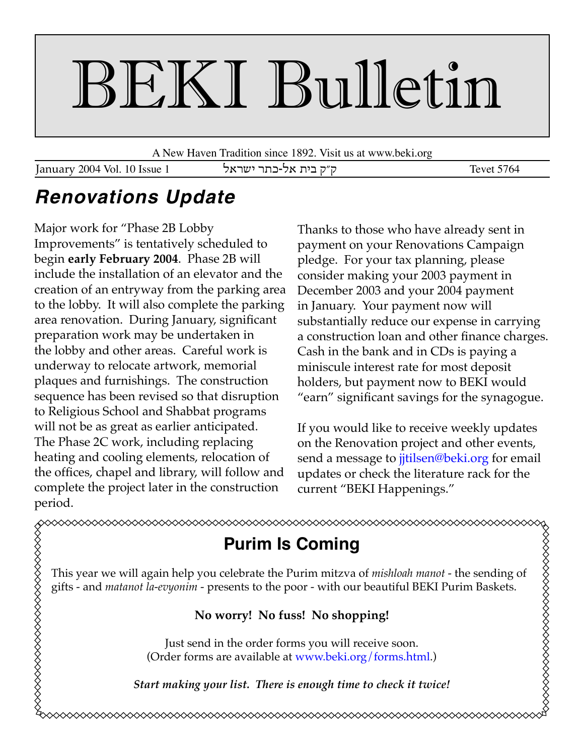# BEKI Bulletin

A New Haven Tradition since 1892. Visit us at www.beki.org

January 2004 Vol. 10 Issue 1 ק״ק בית אל-כתר ישראל

## **Renovations Update**

Major work for "Phase 2B Lobby Improvements" is tentatively scheduled to begin **early February 2004**. Phase 2B will include the installation of an elevator and the creation of an entryway from the parking area to the lobby. It will also complete the parking area renovation. During January, significant preparation work may be undertaken in the lobby and other areas. Careful work is underway to relocate artwork, memorial plaques and furnishings. The construction sequence has been revised so that disruption to Religious School and Shabbat programs will not be as great as earlier anticipated. The Phase 2C work, including replacing heating and cooling elements, relocation of the offices, chapel and library, will follow and complete the project later in the construction period.

Thanks to those who have already sent in payment on your Renovations Campaign pledge. For your tax planning, please consider making your 2003 payment in December 2003 and your 2004 payment in January. Your payment now will substantially reduce our expense in carrying a construction loan and other finance charges. Cash in the bank and in CDs is paying a miniscule interest rate for most deposit holders, but payment now to BEKI would "earn" significant savings for the synagogue.

If you would like to receive weekly updates on the Renovation project and other events, send a message to jitilsen@beki.org for email updates or check the literature rack for the current "BEKI Happenings."

#### **\$\$\$\$\$\$\$\$\$\$\$\$\$\$\$\$\$\$\$\$\$\$\$\$\$\$\$\$\$\$\$\$\$** XXXXXXXXXXXXXXXXXXXXXXXX **Purim Is Coming** This year we will again help you celebrate the Purim mitzva of *mishloah manot* - the sending of gifts - and *matanot la-evyonim* - presents to the poor - with our beautiful BEKI Purim Baskets. **No worry! No fuss! No shopping!** Just send in the order forms you will receive soon. (Order forms are available at [www.beki.org/forms.html](http://www.beki.org/forms.html).) *Start making your list. There is enough time to check it twice!*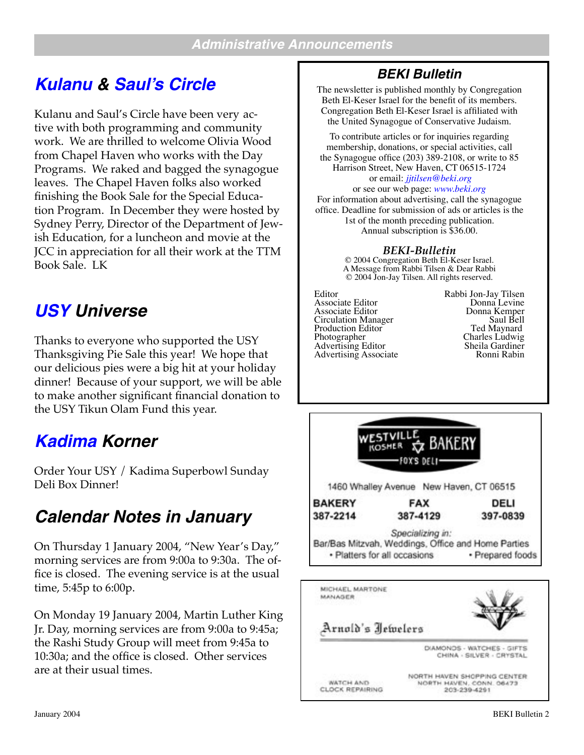## **[Kulanu](http://www.beki.org/kulanu.html) & [Saul's Circle](http://www.beki.org/sauls.html)**

Kulanu and Saul's Circle have been very active with both programming and community work. We are thrilled to welcome Olivia Wood from Chapel Haven who works with the Day Programs. We raked and bagged the synagogue leaves. The Chapel Haven folks also worked finishing the Book Sale for the Special Education Program. In December they were hosted by Sydney Perry, Director of the Department of Jewish Education, for a luncheon and movie at the JCC in appreciation for all their work at the TTM Book Sale. LK

## **[USY](http://www.beki.org/youth.html#kadimausy) Universe**

Thanks to everyone who supported the USY Thanksgiving Pie Sale this year! We hope that our delicious pies were a big hit at your holiday dinner! Because of your support, we will be able to make another significant financial donation to the USY Tikun Olam Fund this year.

## **[Kadima](http://www.beki.org/youth.html#kadimausy) Korner**

Order Your USY / Kadima Superbowl Sunday Deli Box Dinner!

## **Calendar Notes in January**

On Thursday 1 January 2004, "New Year's Day," morning services are from 9:00a to 9:30a. The office is closed. The evening service is at the usual time, 5:45p to 6:00p.

On Monday 19 January 2004, Martin Luther King Jr. Day, morning services are from 9:00a to 9:45a; the Rashi Study Group will meet from 9:45a to 10:30a; and the office is closed. Other services are at their usual times.

#### **BEKI Bulletin**

The newsletter is published monthly by Congregation Beth El-Keser Israel for the benefit of its members. Congregation Beth El-Keser Israel is affiliated with the United Synagogue of Conservative Judaism.

To contribute articles or for inquiries regarding membership, donations, or special activities, call the Synagogue office (203) 389-2108, or write to 85 Harrison Street, New Haven, CT 06515-1724 or email: *[jjtilsen@beki.org](mailto:jjtilsen@beki.org)* or see our web page: *[www.beki.org](http://www.beki.org/coopjona.html)*

For information about advertising, call the synagogue office. Deadline for submission of ads or articles is the 1st of the month preceding publication. Annual subscription is \$36.00.

#### *BEKI-Bulletin*

© 2004 Congregation Beth El-Keser Israel. A Message from Rabbi Tilsen & Dear Rabbi © 2004 Jon-Jay Tilsen. All rights reserved.

Editor Rabbi Jon-Jay Tilsen<br>Associate Editor Donna Levine<br>Associate Editor Donna Kemper Circulation Manager<br>
Production Editor Ted Maynard<br>
Ted Maynard Photographer Charles Ludwig<br>
Advertising Editor Sheila Gardiner<br>
Advertising Associate Ronni Rabin Advertising Associate



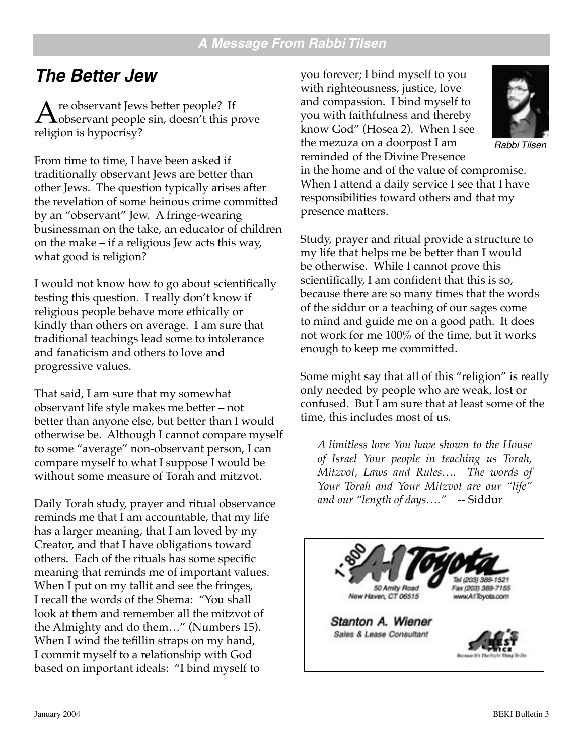## **The Better Jew**

 $A^{\text{re}$  observant Jews better people? If observant people sin, doesn't this prove religion is hypogrisy? religion is hypocrisy?

From time to time, I have been asked if traditionally observant Jews are better than other Jews. The question typically arises after the revelation of some heinous crime committed by an "observant" Jew. A fringe-wearing businessman on the take, an educator of children on the make – if a religious Jew acts this way, what good is religion?

I would not know how to go about scientifically testing this question. I really don't know if religious people behave more ethically or kindly than others on average. I am sure that traditional teachings lead some to intolerance and fanaticism and others to love and progressive values.

That said, I am sure that my somewhat observant life style makes me better – not better than anyone else, but better than I would otherwise be. Although I cannot compare myself to some "average" non-observant person, I can compare myself to what I suppose I would be without some measure of Torah and mitzvot.

Daily Torah study, prayer and ritual observance reminds me that I am accountable, that my life has a larger meaning, that I am loved by my Creator, and that I have obligations toward others. Each of the rituals has some specific meaning that reminds me of important values. When I put on my tallit and see the fringes, I recall the words of the Shema: "You shall look at them and remember all the mitzvot of the Almighty and do them…" (Numbers 15). When I wind the tefillin straps on my hand, I commit myself to a relationship with God based on important ideals: "I bind myself to

you forever; I bind myself to you with righteousness, justice, love and compassion. I bind myself to you with faithfulness and thereby know God" (Hosea 2). When I see the mezuza on a doorpost I am reminded of the Divine Presence



Rabbi Tilsen

in the home and of the value of compromise. When I attend a daily service I see that I have responsibilities toward others and that my presence matters.

Study, prayer and ritual provide a structure to my life that helps me be better than I would be otherwise. While I cannot prove this scientifically, I am confident that this is so, because there are so many times that the words of the siddur or a teaching of our sages come to mind and guide me on a good path. It does not work for me 100% of the time, but it works enough to keep me committed.

Some might say that all of this "religion" is really only needed by people who are weak, lost or confused. But I am sure that at least some of the time, this includes most of us.

*A limitless love You have shown to the House of Israel Your people in teaching us Torah, Mitzvot, Laws and Rules…. The words of Your Torah and Your Mitzvot are our "life" and our "length of days…."* -- Siddur

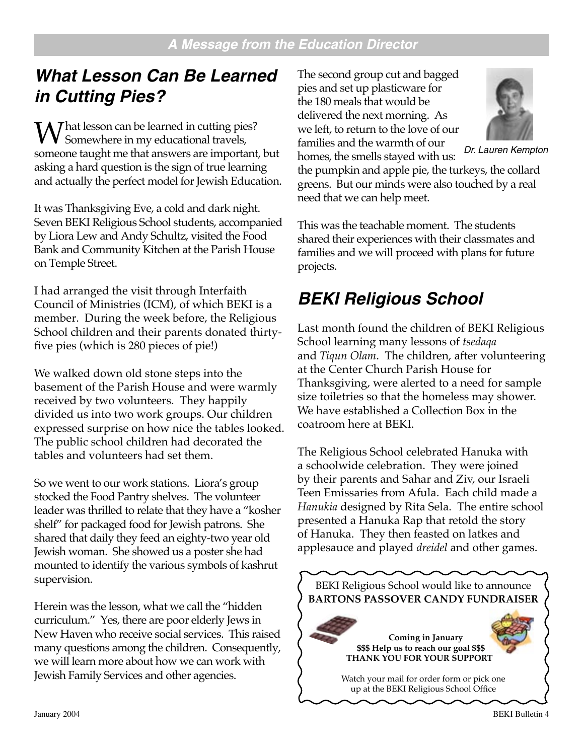## **What Lesson Can Be Learned in Cutting Pies?**

 $M/\hbar$  That lesson can be learned in cutting pies? Somewhere in my educational travels, someone taught me that answers are important, but asking a hard question is the sign of true learning and actually the perfect model for Jewish Education.

It was Thanksgiving Eve, a cold and dark night. Seven BEKI Religious School students, accompanied by Liora Lew and Andy Schultz, visited the Food Bank and Community Kitchen at the Parish House on Temple Street.

I had arranged the visit through Interfaith Council of Ministries (ICM), of which BEKI is a member. During the week before, the Religious School children and their parents donated thirtyfive pies (which is 280 pieces of pie!)

We walked down old stone steps into the basement of the Parish House and were warmly received by two volunteers. They happily divided us into two work groups. Our children expressed surprise on how nice the tables looked. The public school children had decorated the tables and volunteers had set them.

So we went to our work stations. Liora's group stocked the Food Pantry shelves. The volunteer leader was thrilled to relate that they have a "kosher shelf" for packaged food for Jewish patrons. She shared that daily they feed an eighty-two year old Jewish woman. She showed us a poster she had mounted to identify the various symbols of kashrut supervision.

Herein was the lesson, what we call the "hidden curriculum." Yes, there are poor elderly Jews in New Haven who receive social services. This raised many questions among the children. Consequently, we will learn more about how we can work with Jewish Family Services and other agencies.

The second group cut and bagged pies and set up plasticware for the 180 meals that would be delivered the next morning. As we left, to return to the love of our families and the warmth of our



Dr. Lauren Kempton

homes, the smells stayed with us: the pumpkin and apple pie, the turkeys, the collard greens. But our minds were also touched by a real need that we can help meet.

This was the teachable moment. The students shared their experiences with their classmates and families and we will proceed with plans for future projects.

## **BEKI Religious School**

Last month found the children of BEKI Religious School learning many lessons of *tsedaqa* and *Tiqun Olam*. The children, after volunteering at the Center Church Parish House for Thanksgiving, were alerted to a need for sample size toiletries so that the homeless may shower. We have established a Collection Box in the coatroom here at BEKI.

The Religious School celebrated Hanuka with a schoolwide celebration. They were joined by their parents and Sahar and Ziv, our Israeli Teen Emissaries from Afula. Each child made a *Hanukia* designed by Rita Sela. The entire school presented a Hanuka Rap that retold the story of Hanuka. They then feasted on latkes and applesauce and played *dreidel* and other games.

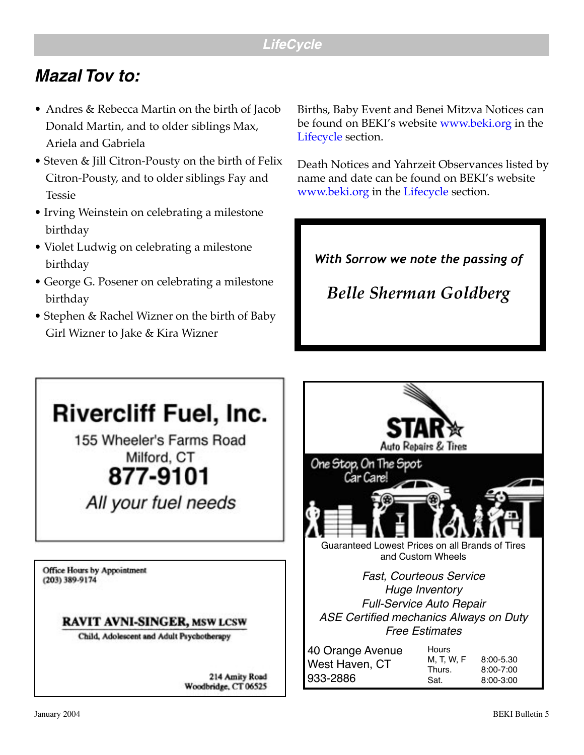## **Mazal Tov to:**

- Andres & Rebecca Martin on the birth of Jacob Donald Martin, and to older siblings Max, Ariela and Gabriela
- Steven & Jill Citron-Pousty on the birth of Felix Citron-Pousty, and to older siblings Fay and Tessie
- Irving Weinstein on celebrating a milestone birthday
- Violet Ludwig on celebrating a milestone birthday
- George G. Posener on celebrating a milestone birthday
- Stephen & Rachel Wizner on the birth of Baby Girl Wizner to Jake & Kira Wizner

Births, Baby Event and Benei Mitzva Notices can be found on BEKI's website [www.beki.org](http://www.beki.org/coopjona.html) in the [Lifecycle](http://www.beki.org/newsindex.html#lifecycle) section.

Death Notices and Yahrzeit Observances listed by name and date can be found on BEKI's website [www.beki.org](http://www.beki.org/coopjona.html) in the [Lifecycle](http://www.beki.org/newsindex.html#lifecycle) section.

*With Sorrow we note the passing of*

*Belle Sherman Goldberg*

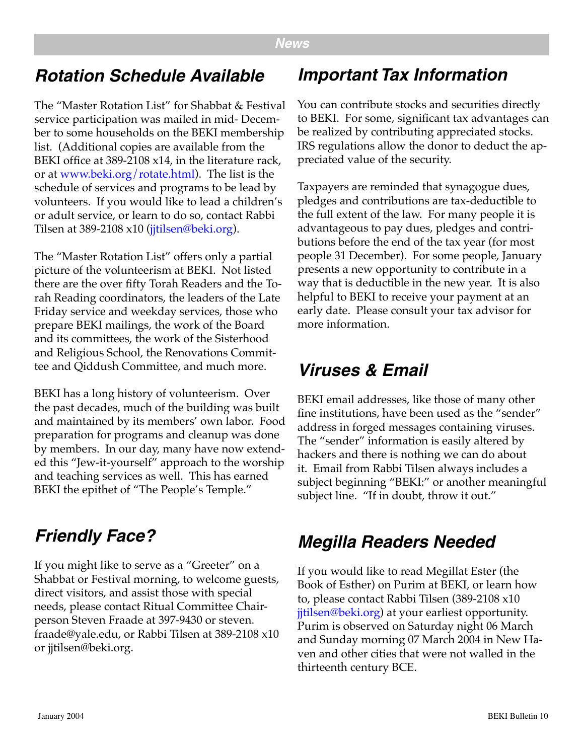## **Rotation Schedule Available**

The "Master Rotation List" for Shabbat & Festival service participation was mailed in mid- December to some households on the BEKI membership list. (Additional copies are available from the BEKI office at 389-2108 x14, in the literature rack, or at [www.beki.org/rotate.html](http://www.beki.org/sauls.html)). The list is the schedule of services and programs to be lead by volunteers. If you would like to lead a children's or adult service, or learn to do so, contact Rabbi Tilsen at 389-2108 x10 ([jjtilsen@beki.org](mailto:jjtilsen@beki.org)).

The "Master Rotation List" offers only a partial picture of the volunteerism at BEKI. Not listed there are the over fifty Torah Readers and the Torah Reading coordinators, the leaders of the Late Friday service and weekday services, those who prepare BEKI mailings, the work of the Board and its committees, the work of the Sisterhood and Religious School, the Renovations Committee and Qiddush Committee, and much more.

BEKI has a long history of volunteerism. Over the past decades, much of the building was built and maintained by its members' own labor. Food preparation for programs and cleanup was done by members. In our day, many have now extended this "Jew-it-yourself" approach to the worship and teaching services as well. This has earned BEKI the epithet of "The People's Temple."

## **Friendly Face?**

If you might like to serve as a "Greeter" on a Shabbat or Festival morning, to welcome guests, direct visitors, and assist those with special needs, please contact Ritual Committee Chairperson Steven Fraade at 397-9430 or steven. fraade@yale.edu, or Rabbi Tilsen at 389-2108 x10 or jjtilsen@beki.org.

## **Important Tax Information**

You can contribute stocks and securities directly to BEKI. For some, significant tax advantages can be realized by contributing appreciated stocks. IRS regulations allow the donor to deduct the appreciated value of the security.

Taxpayers are reminded that synagogue dues, pledges and contributions are tax-deductible to the full extent of the law. For many people it is advantageous to pay dues, pledges and contributions before the end of the tax year (for most people 31 December). For some people, January presents a new opportunity to contribute in a way that is deductible in the new year. It is also helpful to BEKI to receive your payment at an early date. Please consult your tax advisor for more information.

## **Viruses & Email**

BEKI email addresses, like those of many other fine institutions, have been used as the "sender" address in forged messages containing viruses. The "sender" information is easily altered by hackers and there is nothing we can do about it. Email from Rabbi Tilsen always includes a subject beginning "BEKI:" or another meaningful subject line. "If in doubt, throw it out."

## **Megilla Readers Needed**

If you would like to read Megillat Ester (the Book of Esther) on Purim at BEKI, or learn how to, please contact Rabbi Tilsen (389-2108 x10 [jjtilsen@beki.org\)](mailto:jjtilsen@beki.org) at your earliest opportunity. Purim is observed on Saturday night 06 March and Sunday morning 07 March 2004 in New Haven and other cities that were not walled in the thirteenth century BCE.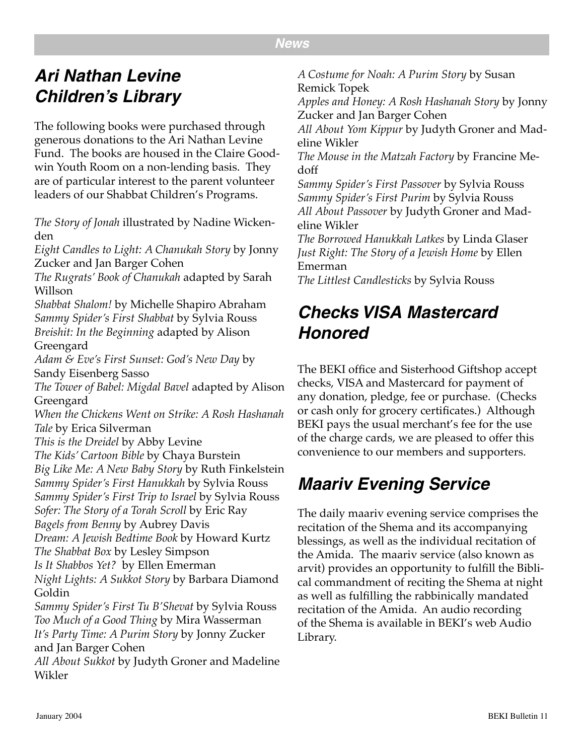#### **News**

## **Ari Nathan Levine Children's Library**

The following books were purchased through generous donations to the Ari Nathan Levine Fund. The books are housed in the Claire Goodwin Youth Room on a non-lending basis. They are of particular interest to the parent volunteer leaders of our Shabbat Children's Programs.

*The Story of Jonah* illustrated by Nadine Wickenden

*Eight Candles to Light: A Chanukah Story* by Jonny Zucker and Jan Barger Cohen

*The Rugrats' Book of Chanukah* adapted by Sarah Willson

*Shabbat Shalom!* by Michelle Shapiro Abraham *Sammy Spider's First Shabbat* by Sylvia Rouss *Breishit: In the Beginning* adapted by Alison Greengard

*Adam & Eve's First Sunset: God's New Day* by Sandy Eisenberg Sasso

*The Tower of Babel: Migdal Bavel* adapted by Alison Greengard

*When the Chickens Went on Strike: A Rosh Hashanah Tale* by Erica Silverman

*This is the Dreidel* by Abby Levine

*The Kids' Cartoon Bible* by Chaya Burstein

*Big Like Me: A New Baby Story* by Ruth Finkelstein *Sammy Spider's First Hanukkah* by Sylvia Rouss

*Sammy Spider's First Trip to Israel* by Sylvia Rouss

*Sofer: The Story of a Torah Scroll* by Eric Ray

*Bagels from Benny* by Aubrey Davis

*Dream: A Jewish Bedtime Book* by Howard Kurtz

*The Shabbat Box* by Lesley Simpson

*Is It Shabbos Yet?* by Ellen Emerman

*Night Lights: A Sukkot Story* by Barbara Diamond Goldin

*Sammy Spider's First Tu B'Shevat* by Sylvia Rouss *Too Much of a Good Thing* by Mira Wasserman *It's Party Time: A Purim Story* by Jonny Zucker and Jan Barger Cohen

*All About Sukkot* by Judyth Groner and Madeline Wikler

*A Costume for Noah: A Purim Story* by Susan Remick Topek

*Apples and Honey: A Rosh Hashanah Story* by Jonny Zucker and Jan Barger Cohen

*All About Yom Kippur* by Judyth Groner and Madeline Wikler

*The Mouse in the Matzah Factory* by Francine Medoff

*Sammy Spider's First Passover* by Sylvia Rouss *Sammy Spider's First Purim* by Sylvia Rouss *All About Passover* by Judyth Groner and Madeline Wikler

*The Borrowed Hanukkah Latkes* by Linda Glaser *Just Right: The Story of a Jewish Home* by Ellen Emerman

*The Littlest Candlesticks* by Sylvia Rouss

## **Checks VISA Mastercard Honored**

The BEKI office and Sisterhood Giftshop accept checks, VISA and Mastercard for payment of any donation, pledge, fee or purchase. (Checks or cash only for grocery certificates.) Although BEKI pays the usual merchant's fee for the use of the charge cards, we are pleased to offer this convenience to our members and supporters.

## **Maariv Evening Service**

The daily maariv evening service comprises the recitation of the Shema and its accompanying blessings, as well as the individual recitation of the Amida. The maariv service (also known as arvit) provides an opportunity to fulfill the Biblical commandment of reciting the Shema at night as well as fulfilling the rabbinically mandated recitation of the Amida. An audio recording of the Shema is available in BEKI's web Audio Library.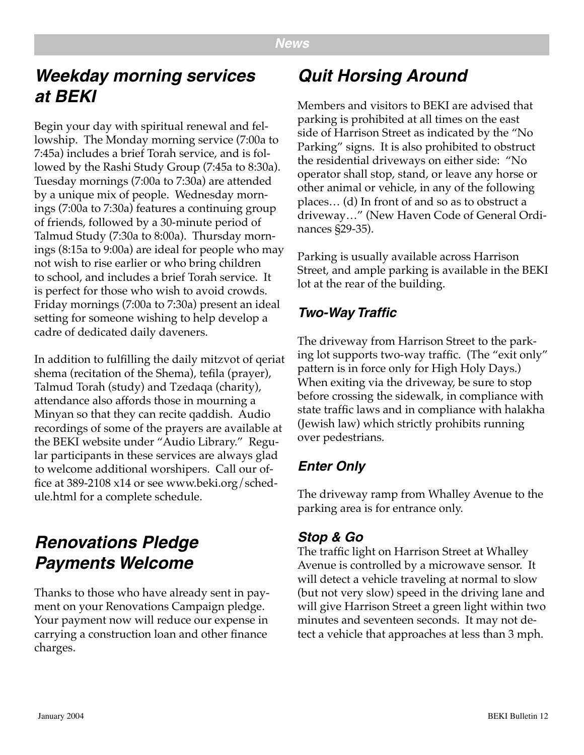## **Weekday morning services at BEKI**

Begin your day with spiritual renewal and fellowship. The Monday morning service (7:00a to 7:45a) includes a brief Torah service, and is followed by the Rashi Study Group (7:45a to 8:30a). Tuesday mornings (7:00a to 7:30a) are attended by a unique mix of people. Wednesday mornings (7:00a to 7:30a) features a continuing group of friends, followed by a 30-minute period of Talmud Study (7:30a to 8:00a). Thursday mornings (8:15a to 9:00a) are ideal for people who may not wish to rise earlier or who bring children to school, and includes a brief Torah service. It is perfect for those who wish to avoid crowds. Friday mornings (7:00a to 7:30a) present an ideal setting for someone wishing to help develop a cadre of dedicated daily daveners.

In addition to fulfilling the daily mitzvot of qeriat shema (recitation of the Shema), tefila (prayer), Talmud Torah (study) and Tzedaqa (charity), attendance also affords those in mourning a Minyan so that they can recite qaddish. Audio recordings of some of the prayers are available at the BEKI website under "Audio Library." Regular participants in these services are always glad to welcome additional worshipers. Call our office at 389-2108 x14 or see www.beki.org/schedule.html for a complete schedule.

## **Renovations Pledge Payments Welcome**

Thanks to those who have already sent in payment on your Renovations Campaign pledge. Your payment now will reduce our expense in carrying a construction loan and other finance charges.

## **Quit Horsing Around**

Members and visitors to BEKI are advised that parking is prohibited at all times on the east side of Harrison Street as indicated by the "No Parking" signs. It is also prohibited to obstruct the residential driveways on either side: "No operator shall stop, stand, or leave any horse or other animal or vehicle, in any of the following places… (d) In front of and so as to obstruct a driveway…" (New Haven Code of General Ordinances §29-35).

Parking is usually available across Harrison Street, and ample parking is available in the BEKI lot at the rear of the building.

#### **Two-Way Traffic**

The driveway from Harrison Street to the parking lot supports two-way traffic. (The "exit only" pattern is in force only for High Holy Days.) When exiting via the driveway, be sure to stop before crossing the sidewalk, in compliance with state traffic laws and in compliance with halakha (Jewish law) which strictly prohibits running over pedestrians.

#### **Enter Only**

The driveway ramp from Whalley Avenue to the parking area is for entrance only.

#### **Stop & Go**

The traffic light on Harrison Street at Whalley Avenue is controlled by a microwave sensor. It will detect a vehicle traveling at normal to slow (but not very slow) speed in the driving lane and will give Harrison Street a green light within two minutes and seventeen seconds. It may not detect a vehicle that approaches at less than 3 mph.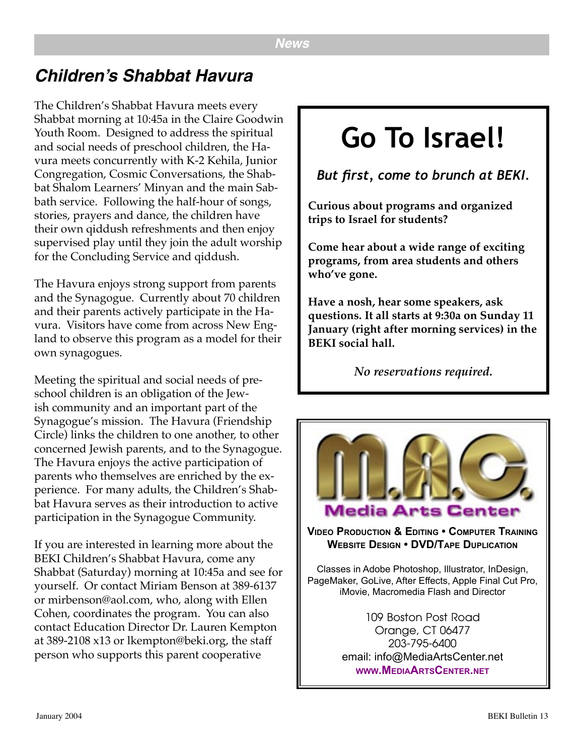## **Children's Shabbat Havura**

The Children's Shabbat Havura meets every Shabbat morning at 10:45a in the Claire Goodwin Youth Room. Designed to address the spiritual and social needs of preschool children, the Havura meets concurrently with K-2 Kehila, Junior Congregation, Cosmic Conversations, the Shabbat Shalom Learners' Minyan and the main Sabbath service. Following the half-hour of songs, stories, prayers and dance, the children have their own qiddush refreshments and then enjoy supervised play until they join the adult worship for the Concluding Service and qiddush.

The Havura enjoys strong support from parents and the Synagogue. Currently about 70 children and their parents actively participate in the Havura. Visitors have come from across New England to observe this program as a model for their own synagogues.

Meeting the spiritual and social needs of preschool children is an obligation of the Jewish community and an important part of the Synagogue's mission. The Havura (Friendship Circle) links the children to one another, to other concerned Jewish parents, and to the Synagogue. The Havura enjoys the active participation of parents who themselves are enriched by the experience. For many adults, the Children's Shabbat Havura serves as their introduction to active participation in the Synagogue Community.

If you are interested in learning more about the BEKI Children's Shabbat Havura, come any Shabbat (Saturday) morning at 10:45a and see for yourself. Or contact Miriam Benson at 389-6137 or mirbenson@aol.com, who, along with Ellen Cohen, coordinates the program. You can also contact Education Director Dr. Lauren Kempton at 389-2108 x13 or lkempton@beki.org, the staff person who supports this parent cooperative

## **Go To Israel!**

*But first, come to brunch at BEKI.*

**Curious about programs and organized trips to Israel for students?** 

**Come hear about a wide range of exciting programs, from area students and others who've gone.**

**Have a nosh, hear some speakers, ask questions. It all starts at 9:30a on Sunday 11 January (right after morning services) in the BEKI social hall.**

*No reservations required.*



**WEBSITE DESIGN • DVD/TAPE DUPLICATION**

Classes in Adobe Photoshop, Illustrator, InDesign, PageMaker, GoLive, After Effects, Apple Final Cut Pro, iMovie, Macromedia Flash and Director

> 109 Boston Post Road Orange, CT 06477 203-795-6400 email: info@MediaArtsCenter.net **[WWW.MEDIAARTSCENTER.NET](http://www.MediaArtsCenter.net)**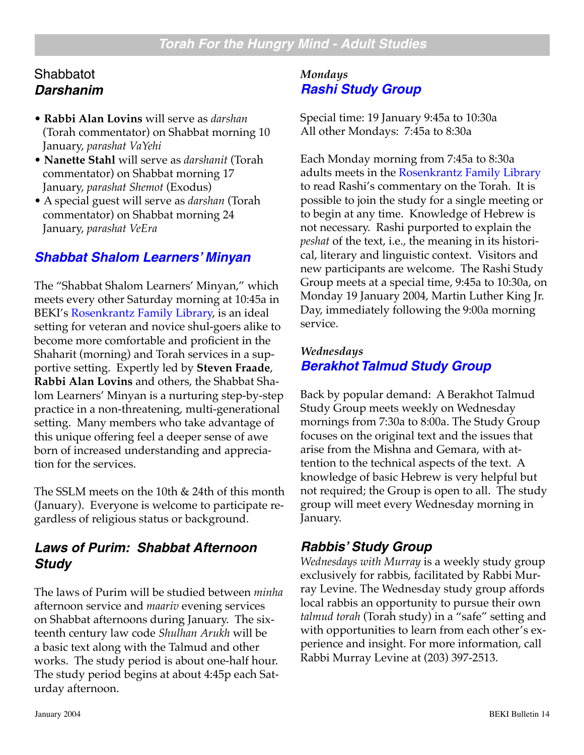#### **Shabbatot Darshanim**

- **Rabbi Alan Lovins** will serve as *darshan* (Torah commentator) on Shabbat morning 10 January, *parashat VaYehi*
- **Nanette Stahl** will serve as *darshanit* (Torah commentator) on Shabbat morning 17 January, *parashat Shemot* (Exodus)
- A special guest will serve as *darshan* (Torah commentator) on Shabbat morning 24 January, *parashat VeEra*

#### **[Shabbat Shalom Learners' Minyan](http://www.beki.org/adulted.html#sslm)**

The "Shabbat Shalom Learners' Minyan," which meets every other Saturday morning at 10:45a in BEKI's [Rosenkrantz Family Library,](http://www.beki.org/library.html) is an ideal setting for veteran and novice shul-goers alike to become more comfortable and proficient in the Shaharit (morning) and Torah services in a supportive setting. Expertly led by **Steven Fraade**, **Rabbi Alan Lovins** and others, the Shabbat Shalom Learners' Minyan is a nurturing step-by-step practice in a non-threatening, multi-generational setting. Many members who take advantage of this unique offering feel a deeper sense of awe born of increased understanding and appreciation for the services.

The SSLM meets on the 10th & 24th of this month (January). Everyone is welcome to participate regardless of religious status or background.

#### **Laws of Purim: Shabbat Afternoon Study**

The laws of Purim will be studied between *minha* afternoon service and *maariv* evening services on Shabbat afternoons during January. The sixteenth century law code *Shulhan Arukh* will be a basic text along with the Talmud and other works. The study period is about one-half hour. The study period begins at about 4:45p each Saturday afternoon.

#### *Mondays* **[Rashi Study Group](http://www.beki.org/adulted.html#rashi)**

Special time: 19 January 9:45a to 10:30a All other Mondays: 7:45a to 8:30a

Each Monday morning from 7:45a to 8:30a adults meets in the [Rosenkrantz Family Library](http://www.beki.org/library.html) to read Rashi's commentary on the Torah. It is possible to join the study for a single meeting or to begin at any time. Knowledge of Hebrew is not necessary. Rashi purported to explain the *peshat* of the text, i.e., the meaning in its historical, literary and linguistic context. Visitors and new participants are welcome. The Rashi Study Group meets at a special time, 9:45a to 10:30a, on Monday 19 January 2004, Martin Luther King Jr. Day, immediately following the 9:00a morning service.

#### *Wednesdays* **[Berakhot Talmud Study Group](http://www.beki.org/coopjona.html)**

Back by popular demand: A Berakhot Talmud Study Group meets weekly on Wednesday mornings from 7:30a to 8:00a. The Study Group focuses on the original text and the issues that arise from the Mishna and Gemara, with attention to the technical aspects of the text. A knowledge of basic Hebrew is very helpful but not required; the Group is open to all. The study group will meet every Wednesday morning in January.

#### **Rabbis' Study Group**

*Wednesdays with Murray* is a weekly study group exclusively for rabbis, facilitated by Rabbi Murray Levine. The Wednesday study group affords local rabbis an opportunity to pursue their own *talmud torah* (Torah study) in a "safe" setting and with opportunities to learn from each other's experience and insight. For more information, call Rabbi Murray Levine at (203) 397-2513.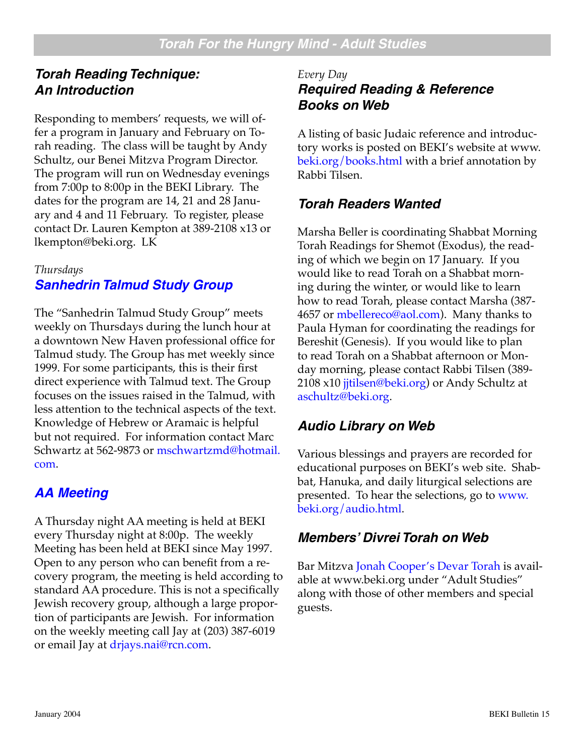#### **Torah Reading Technique: An Introduction**

Responding to members' requests, we will offer a program in January and February on Torah reading. The class will be taught by Andy Schultz, our Benei Mitzva Program Director. The program will run on Wednesday evenings from 7:00p to 8:00p in the BEKI Library. The dates for the program are 14, 21 and 28 January and 4 and 11 February. To register, please contact Dr. Lauren Kempton at 389-2108 x13 or lkempton@beki.org. LK

#### *Thursdays*

#### **[Sanhedrin Talmud Study Group](http://www.beki.org/adulted.html#sanhedrin)**

The "Sanhedrin Talmud Study Group" meets weekly on Thursdays during the lunch hour at a downtown New Haven professional office for Talmud study. The Group has met weekly since 1999. For some participants, this is their first direct experience with Talmud text. The Group focuses on the issues raised in the Talmud, with less attention to the technical aspects of the text. Knowledge of Hebrew or Aramaic is helpful but not required. For information contact Marc Schwartz at 562-9873 or [mschwartzmd@hotmail.](mailto:mschwartzmd@hotmail.com) [com](mailto:mschwartzmd@hotmail.com).

#### **[AA Meeting](http://www.beki.org/tiqunola.html#aameeting)**

A Thursday night AA meeting is held at BEKI every Thursday night at 8:00p. The weekly Meeting has been held at BEKI since May 1997. Open to any person who can benefit from a recovery program, the meeting is held according to standard AA procedure. This is not a specifically Jewish recovery group, although a large proportion of participants are Jewish. For information on the weekly meeting call Jay at (203) 387-6019 or email Jay at [drjays.nai@rcn.com.](mailto:drjays.nai@rcn.com)

#### *Every Day* **Required Reading & Reference Books on Web**

A listing of basic Judaic reference and introductory works is posted on BEKI's website at www. [beki.org/books.html](http://www.beki.org/books.html ) with a brief annotation by Rabbi Tilsen.

#### **Torah Readers Wanted**

Marsha Beller is coordinating Shabbat Morning Torah Readings for Shemot (Exodus), the reading of which we begin on 17 January. If you would like to read Torah on a Shabbat morning during the winter, or would like to learn how to read Torah, please contact Marsha (387 4657 or [mbellereco@aol.com\)](mailto:mbellereco@aol.com). Many thanks to Paula Hyman for coordinating the readings for Bereshit (Genesis). If you would like to plan to read Torah on a Shabbat afternoon or Monday morning, please contact Rabbi Tilsen (389 2108 x10 [jjtilsen@beki.org\)](mailto:jjtilsen@beki.org) or Andy Schultz at [aschultz@beki.org](mailto:aschultz@beki.org).

#### **Audio Library on Web**

Various blessings and prayers are recorded for educational purposes on BEKI's web site. Shabbat, Hanuka, and daily liturgical selections are presented. To hear the selections, go to [www.](http://www.beki.org/audio.html) [beki.org/audio.html](http://www.beki.org/audio.html).

#### **Members' Divrei Torah on Web**

Bar Mitzva [Jonah Cooper's Devar Torah](http://www.beki.org/coopjona.html) is available at www.beki.org under "Adult Studies" along with those of other members and special guests.